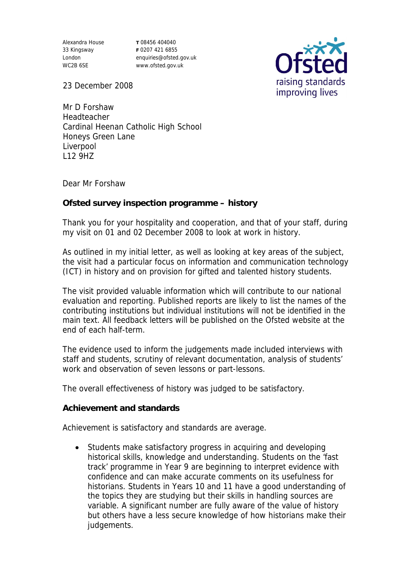Alexandra House 33 Kingsway London WC2B 6SE

**T** 08456 404040 **F** 0207 421 6855 enquiries@ofsted.gov.uk www.ofsted.gov.uk



23 December 2008

Mr D Forshaw Headteacher Cardinal Heenan Catholic High School Honeys Green Lane Liverpool L12 9HZ

Dear Mr Forshaw

**Ofsted survey inspection programme – history**

Thank you for your hospitality and cooperation, and that of your staff, during my visit on 01 and 02 December 2008 to look at work in history.

As outlined in my initial letter, as well as looking at key areas of the subject, the visit had a particular focus on information and communication technology (ICT) in history and on provision for gifted and talented history students.

The visit provided valuable information which will contribute to our national evaluation and reporting. Published reports are likely to list the names of the contributing institutions but individual institutions will not be identified in the main text. All feedback letters will be published on the Ofsted website at the end of each half-term.

The evidence used to inform the judgements made included interviews with staff and students, scrutiny of relevant documentation, analysis of students' work and observation of seven lessons or part-lessons.

The overall effectiveness of history was judged to be satisfactory.

**Achievement and standards** 

Achievement is satisfactory and standards are average.

• Students make satisfactory progress in acquiring and developing historical skills, knowledge and understanding. Students on the 'fast track' programme in Year 9 are beginning to interpret evidence with confidence and can make accurate comments on its usefulness for historians. Students in Years 10 and 11 have a good understanding of the topics they are studying but their skills in handling sources are variable. A significant number are fully aware of the value of history but others have a less secure knowledge of how historians make their judgements.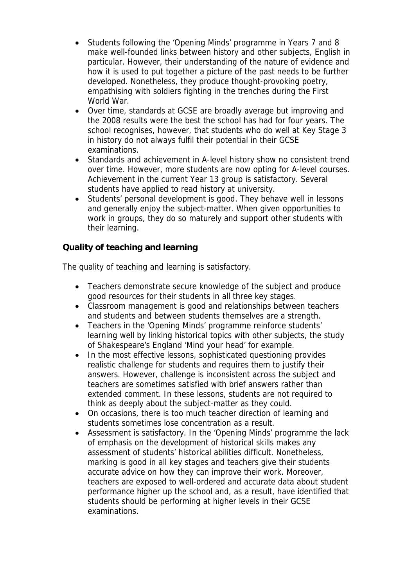- Students following the 'Opening Minds' programme in Years 7 and 8 make well-founded links between history and other subjects, English in particular. However, their understanding of the nature of evidence and how it is used to put together a picture of the past needs to be further developed. Nonetheless, they produce thought-provoking poetry, empathising with soldiers fighting in the trenches during the First World War.
- Over time, standards at GCSE are broadly average but improving and the 2008 results were the best the school has had for four years. The school recognises, however, that students who do well at Key Stage 3 in history do not always fulfil their potential in their GCSE examinations.
- Standards and achievement in A-level history show no consistent trend over time. However, more students are now opting for A-level courses. Achievement in the current Year 13 group is satisfactory. Several students have applied to read history at university.
- Students' personal development is good. They behave well in lessons and generally enjoy the subject-matter. When given opportunities to work in groups, they do so maturely and support other students with their learning.

**Quality of teaching and learning**

The quality of teaching and learning is satisfactory.

- Teachers demonstrate secure knowledge of the subject and produce good resources for their students in all three key stages.
- Classroom management is good and relationships between teachers and students and between students themselves are a strength.
- Teachers in the 'Opening Minds' programme reinforce students' learning well by linking historical topics with other subjects, the study of Shakespeare's England 'Mind your head' for example.
- In the most effective lessons, sophisticated questioning provides realistic challenge for students and requires them to justify their answers. However, challenge is inconsistent across the subject and teachers are sometimes satisfied with brief answers rather than extended comment. In these lessons, students are not required to think as deeply about the subject-matter as they could.
- On occasions, there is too much teacher direction of learning and students sometimes lose concentration as a result.
- Assessment is satisfactory. In the 'Opening Minds' programme the lack of emphasis on the development of historical skills makes any assessment of students' historical abilities difficult. Nonetheless, marking is good in all key stages and teachers give their students accurate advice on how they can improve their work. Moreover, teachers are exposed to well-ordered and accurate data about student performance higher up the school and, as a result, have identified that students should be performing at higher levels in their GCSE examinations.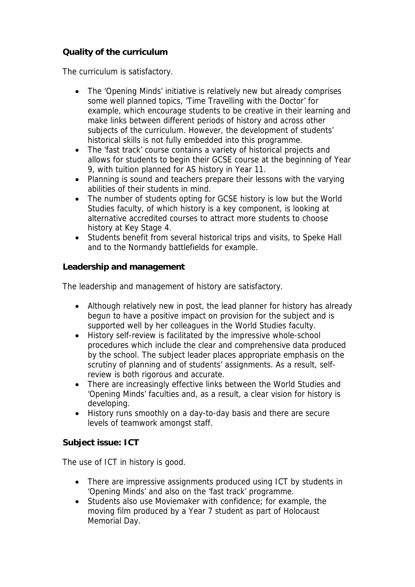## **Quality of the curriculum**

The curriculum is satisfactory.

- The 'Opening Minds' initiative is relatively new but already comprises some well planned topics, 'Time Travelling with the Doctor' for example, which encourage students to be creative in their learning and make links between different periods of history and across other subjects of the curriculum. However, the development of students' historical skills is not fully embedded into this programme.
- The 'fast track' course contains a variety of historical projects and allows for students to begin their GCSE course at the beginning of Year 9, with tuition planned for AS history in Year 11.
- Planning is sound and teachers prepare their lessons with the varying abilities of their students in mind.
- The number of students opting for GCSE history is low but the World Studies faculty, of which history is a key component, is looking at alternative accredited courses to attract more students to choose history at Key Stage 4.
- Students benefit from several historical trips and visits, to Speke Hall and to the Normandy battlefields for example.

**Leadership and management**

The leadership and management of history are satisfactory.

- Although relatively new in post, the lead planner for history has already begun to have a positive impact on provision for the subject and is supported well by her colleagues in the World Studies faculty.
- History self-review is facilitated by the impressive whole-school procedures which include the clear and comprehensive data produced by the school. The subject leader places appropriate emphasis on the scrutiny of planning and of students' assignments. As a result, selfreview is both rigorous and accurate.
- There are increasingly effective links between the World Studies and 'Opening Minds' faculties and, as a result, a clear vision for history is developing.
- History runs smoothly on a day-to-day basis and there are secure levels of teamwork amongst staff.

**Subject issue: ICT**

The use of ICT in history is good.

- There are impressive assignments produced using ICT by students in 'Opening Minds' and also on the 'fast track' programme.
- Students also use Moviemaker with confidence; for example, the moving film produced by a Year 7 student as part of Holocaust Memorial Day.